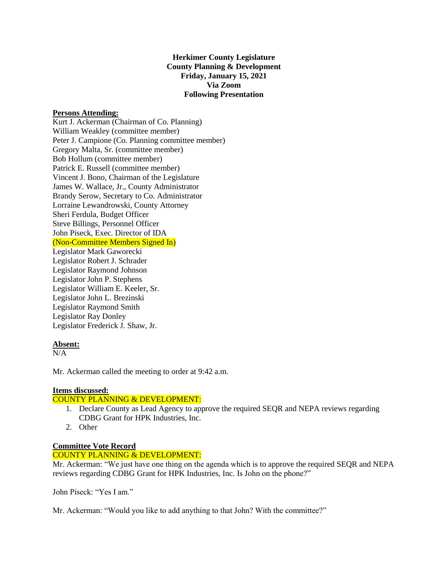**Herkimer County Legislature County Planning & Development Friday, January 15, 2021 Via Zoom Following Presentation**

#### **Persons Attending:**

Kurt J. Ackerman (Chairman of Co. Planning) William Weakley (committee member) Peter J. Campione (Co. Planning committee member) Gregory Malta, Sr. (committee member) Bob Hollum (committee member) Patrick E. Russell (committee member) Vincent J. Bono, Chairman of the Legislature James W. Wallace, Jr., County Administrator Brandy Serow, Secretary to Co. Administrator Lorraine Lewandrowski, County Attorney Sheri Ferdula, Budget Officer Steve Billings, Personnel Officer John Piseck, Exec. Director of IDA (Non-Committee Members Signed In) Legislator Mark Gaworecki Legislator Robert J. Schrader Legislator Raymond Johnson Legislator John P. Stephens Legislator William E. Keeler, Sr. Legislator John L. Brezinski Legislator Raymond Smith Legislator Ray Donley Legislator Frederick J. Shaw, Jr.

#### **Absent:**

 $N/A$ 

Mr. Ackerman called the meeting to order at 9:42 a.m.

# **Items discussed:**

# COUNTY PLANNING & DEVELOPMENT:

- 1. Declare County as Lead Agency to approve the required SEQR and NEPA reviews regarding CDBG Grant for HPK Industries, Inc.
- 2. Other

# **Committee Vote Record**

#### COUNTY PLANNING & DEVELOPMENT:

Mr. Ackerman: "We just have one thing on the agenda which is to approve the required SEQR and NEPA reviews regarding CDBG Grant for HPK Industries, Inc. Is John on the phone?"

John Piseck: "Yes I am."

Mr. Ackerman: "Would you like to add anything to that John? With the committee?"